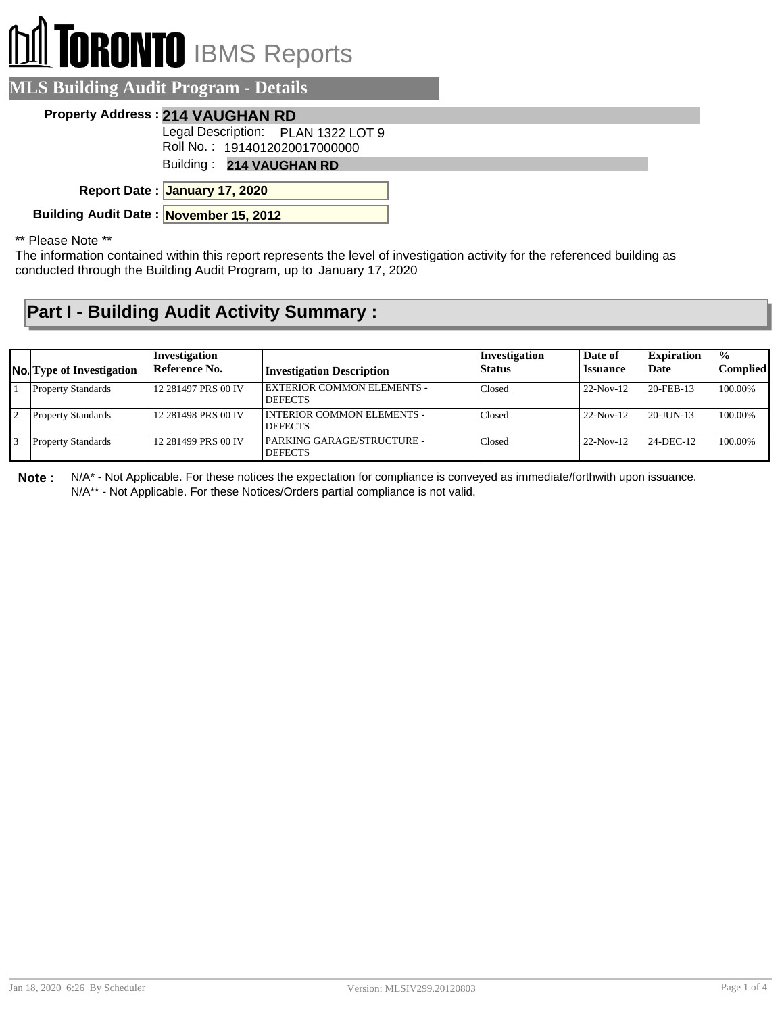# **RONTO** IBMS Reports

#### **MLS Building Audit Program - Details**

#### **Property Address : 214 VAUGHAN RD**

Legal Description: PLAN 1322 LOT 9

Roll No. : 1914012020017000000

Building : **214 VAUGHAN RD**

**January 17, 2020 Report Date :**

**Building Audit Date : November 15, 2012**

\*\* Please Note \*\*

The information contained within this report represents the level of investigation activity for the referenced building as conducted through the Building Audit Program, up to January 17, 2020

#### **Part I - Building Audit Activity Summary :**

| <b>No.</b> Type of Investigation | Investigation<br>Reference No. | <b>Investigation Description</b>                    | Investigation<br><b>Status</b> | Date of<br><b>Issuance</b> | <b>Expiration</b><br>Date | $\frac{1}{2}$<br><b>Complied</b> |
|----------------------------------|--------------------------------|-----------------------------------------------------|--------------------------------|----------------------------|---------------------------|----------------------------------|
| <b>Property Standards</b>        | 12 281497 PRS 00 IV            | <b>EXTERIOR COMMON ELEMENTS -</b><br><b>DEFECTS</b> | Closed                         | $22-Nov-12$                | 20-FEB-13                 | 100.00%                          |
| <b>Property Standards</b>        | 12 281498 PRS 00 IV            | INTERIOR COMMON ELEMENTS -<br><b>DEFECTS</b>        | Closed                         | $22-Nov-12$                | $20 - JU/N - 13$          | 100.00%                          |
| <b>Property Standards</b>        | 12 281499 PRS 00 IV            | PARKING GARAGE/STRUCTURE -<br><b>DEFECTS</b>        | Closed                         | $22-Nov-12$                | 24-DEC-12                 | 100.00%                          |

**Note :** N/A\* - Not Applicable. For these notices the expectation for compliance is conveyed as immediate/forthwith upon issuance. N/A\*\* - Not Applicable. For these Notices/Orders partial compliance is not valid.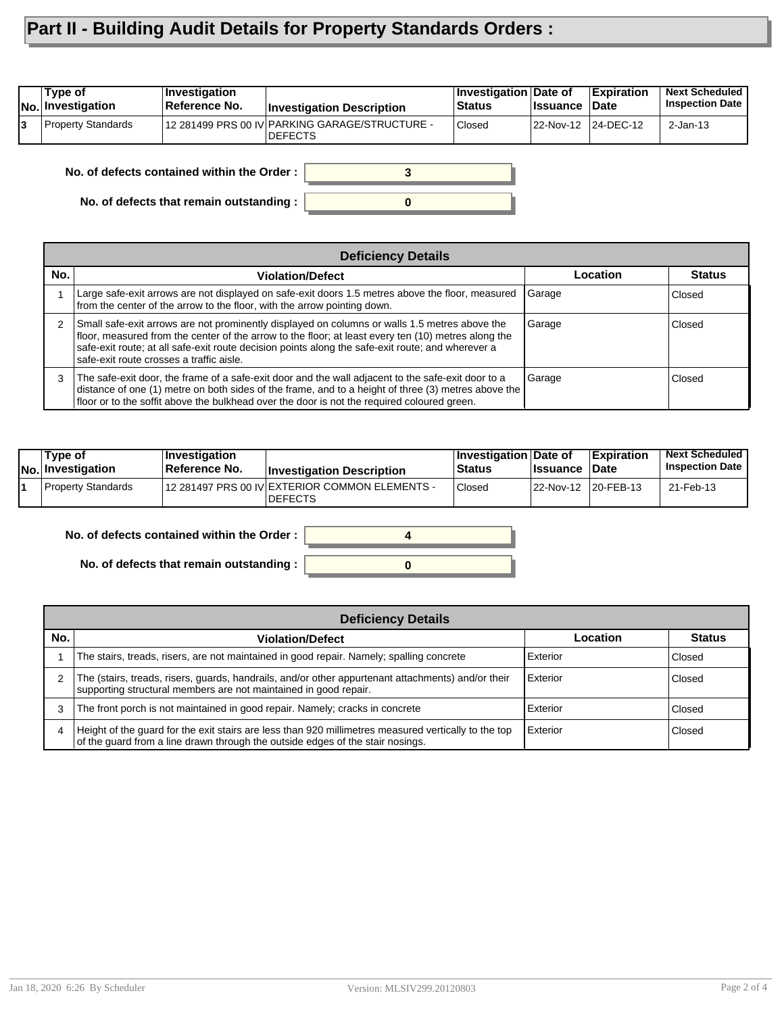### **Part II - Building Audit Details for Property Standards Orders :**

| No. Investigation         | ∣Reference No. | <b>Investigation Description</b>                                 | <b>Status</b> | <b>Issuance</b>     | <b>Date</b> | <b>Inspection Date</b> |
|---------------------------|----------------|------------------------------------------------------------------|---------------|---------------------|-------------|------------------------|
| <b>Property Standards</b> |                | 12 281499 PRS 00 IV PARKING GARAGE/STRUCTURE -<br><b>DEFECTS</b> | Closed        | 22-Nov-12 24-DEC-12 |             | $2$ -Jan-13            |

**No. of defects contained within the Order :**

**No. of defects that remain outstanding :**

|               | <b>Deficiency Details</b>                                                                                                                                                                                                                                                                                                                             |          |               |  |  |  |  |  |  |
|---------------|-------------------------------------------------------------------------------------------------------------------------------------------------------------------------------------------------------------------------------------------------------------------------------------------------------------------------------------------------------|----------|---------------|--|--|--|--|--|--|
| No.           | <b>Violation/Defect</b>                                                                                                                                                                                                                                                                                                                               | Location | <b>Status</b> |  |  |  |  |  |  |
|               | Large safe-exit arrows are not displayed on safe-exit doors 1.5 metres above the floor, measured<br>from the center of the arrow to the floor, with the arrow pointing down.                                                                                                                                                                          | Garage   | Closed        |  |  |  |  |  |  |
| $\mathcal{P}$ | Small safe-exit arrows are not prominently displayed on columns or walls 1.5 metres above the<br>floor, measured from the center of the arrow to the floor; at least every ten (10) metres along the<br>safe-exit route; at all safe-exit route decision points along the safe-exit route; and wherever a<br>safe-exit route crosses a traffic aisle. | Garage   | Closed        |  |  |  |  |  |  |
| 3             | The safe-exit door, the frame of a safe-exit door and the wall adjacent to the safe-exit door to a<br>distance of one (1) metre on both sides of the frame, and to a height of three (3) metres above the<br>floor or to the soffit above the bulkhead over the door is not the required coloured green.                                              | Garage   | Closed        |  |  |  |  |  |  |

**0**

**3**

| Type of<br>$ No $ Investigation | <b>Investigation</b><br>∣Reference No. | <b>Investigation Description</b>                                 | <b>∣Investigation Date of</b><br><b>Status</b> | <b>Issuance Date</b> | <b>Expiration</b> | <b>Next Scheduled</b><br><b>Inspection Date</b> |
|---------------------------------|----------------------------------------|------------------------------------------------------------------|------------------------------------------------|----------------------|-------------------|-------------------------------------------------|
| Property Standards              |                                        | 12 281497 PRS 00 IV EXTERIOR COMMON ELEMENTS -<br><b>DEFECTS</b> | <b>Closed</b>                                  | 22-Nov-12 20-FEB-13  |                   | 21-Feb-13                                       |

**No. of defects contained within the Order :**

**No. of defects that remain outstanding :**



|     | <b>Deficiency Details</b>                                                                                                                                                              |          |               |  |  |  |  |  |
|-----|----------------------------------------------------------------------------------------------------------------------------------------------------------------------------------------|----------|---------------|--|--|--|--|--|
| No. | <b>Violation/Defect</b>                                                                                                                                                                | Location | <b>Status</b> |  |  |  |  |  |
|     | The stairs, treads, risers, are not maintained in good repair. Namely; spalling concrete                                                                                               | Exterior | Closed        |  |  |  |  |  |
|     | The (stairs, treads, risers, guards, handrails, and/or other appurtenant attachments) and/or their<br>supporting structural members are not maintained in good repair.                 | Exterior | Closed        |  |  |  |  |  |
|     | The front porch is not maintained in good repair. Namely; cracks in concrete                                                                                                           | Exterior | Closed        |  |  |  |  |  |
|     | Height of the guard for the exit stairs are less than 920 millimetres measured vertically to the top<br>of the quard from a line drawn through the outside edges of the stair nosings. | Exterior | Closed        |  |  |  |  |  |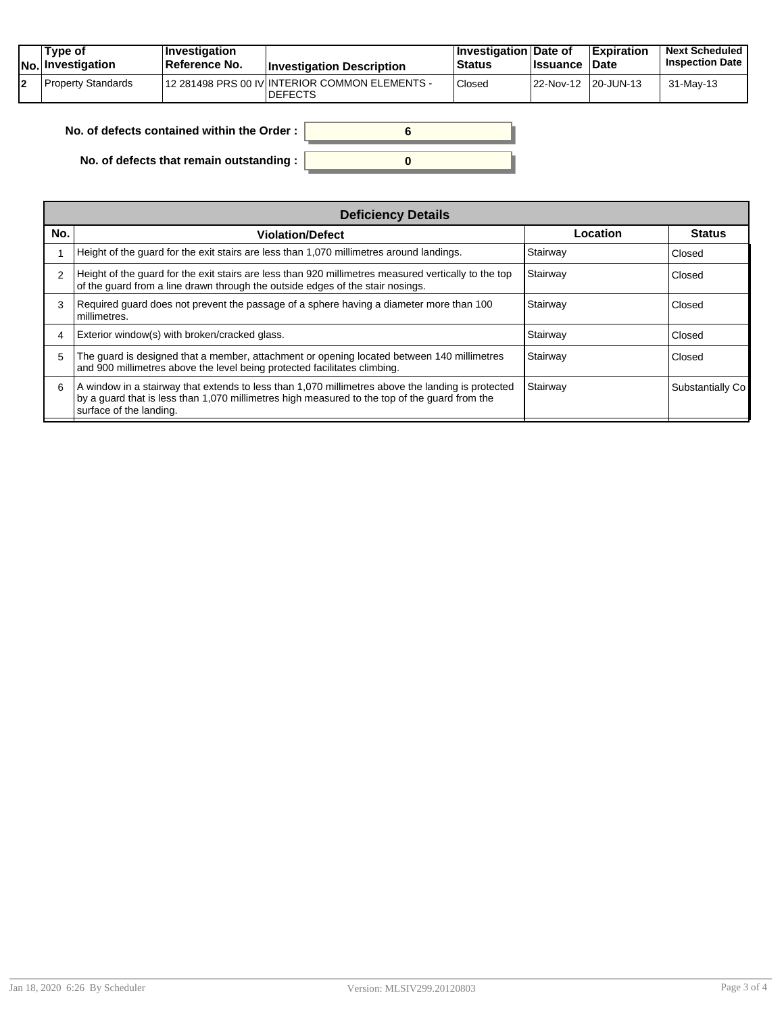|    | Tvpe of<br><b>No. Investigation</b> | $\blacksquare$ Investigation<br><b>Reference No.</b> | <b>Investigation Description</b>                                  | <b>∐nvestigation Date of</b><br>Status | <b>Issuance Date</b> | <b>Expiration</b> | <b>Next Scheduled</b><br><b>Inspection Date</b> |
|----|-------------------------------------|------------------------------------------------------|-------------------------------------------------------------------|----------------------------------------|----------------------|-------------------|-------------------------------------------------|
| 12 | Property Standards                  |                                                      | 112 281498 PRS 00 IV INTERIOR COMMON ELEMENTS -<br><b>DEFECTS</b> | Closed                                 | 22-Nov-12 20-JUN-13  |                   | 31-May-13                                       |

| No. of defects contained within the Order: |  |
|--------------------------------------------|--|
| No. of defects that remain outstanding :   |  |

| <b>Deficiency Details</b> |                                                                                                                                                                                                                               |          |                  |  |  |  |
|---------------------------|-------------------------------------------------------------------------------------------------------------------------------------------------------------------------------------------------------------------------------|----------|------------------|--|--|--|
| No.                       | <b>Violation/Defect</b>                                                                                                                                                                                                       | Location | Status           |  |  |  |
|                           | Height of the guard for the exit stairs are less than 1,070 millimetres around landings.                                                                                                                                      | Stairway | <b>Closed</b>    |  |  |  |
| $\mathcal{P}$             | Height of the quard for the exit stairs are less than 920 millimetres measured vertically to the top<br>of the quard from a line drawn through the outside edges of the stair nosings.                                        | Stairway | Closed           |  |  |  |
|                           | Required guard does not prevent the passage of a sphere having a diameter more than 100<br>millimetres.                                                                                                                       | Stairway | <b>Closed</b>    |  |  |  |
|                           | Exterior window(s) with broken/cracked glass.                                                                                                                                                                                 | Stairway | <b>Closed</b>    |  |  |  |
| 5                         | The quard is designed that a member, attachment or opening located between 140 millimetres<br>and 900 millimetres above the level being protected facilitates climbing.                                                       | Stairway | Closed           |  |  |  |
| 6                         | A window in a stairway that extends to less than 1,070 millimetres above the landing is protected<br>by a quard that is less than 1,070 millimetres high measured to the top of the quard from the<br>surface of the landing. | Stairway | Substantially Co |  |  |  |